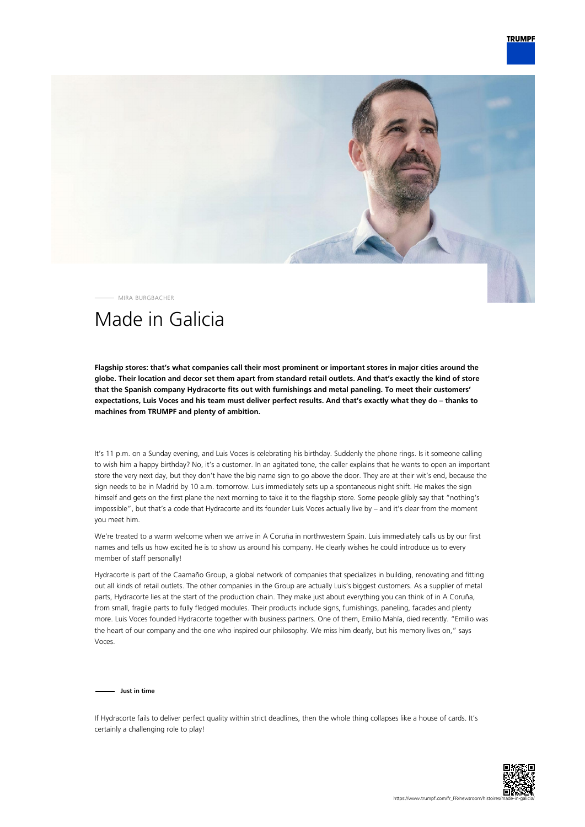

MIRA BURGBACHER

## Made in Galicia

**Flagship stores: that's what companies call their most prominent or important stores in major cities around the globe. Their location and decor set them apart from standard retail outlets. And that's exactly the kind of store that the Spanish company Hydracorte fits out with furnishings and metal paneling. To meet their customers' expectations, Luis Voces and his team must deliver perfect results. And that's exactly what they do – thanks to machines from TRUMPF and plenty of ambition.**

It's 11 p.m. on a Sunday evening, and Luis Voces is celebrating his birthday. Suddenly the phone rings. Is it someone calling to wish him a happy birthday? No, it's a customer. In an agitated tone, the caller explains that he wants to open an important store the very next day, but they don't have the big name sign to go above the door. They are at their wit's end, because the sign needs to be in Madrid by 10 a.m. tomorrow. Luis immediately sets up a spontaneous night shift. He makes the sign himself and gets on the first plane the next morning to take it to the flagship store. Some people glibly say that "nothing's impossible", but that's a code that Hydracorte and its founder Luis Voces actually live by – and it's clear from the moment you meet him.

We're treated to a warm welcome when we arrive in A Coruña in northwestern Spain. Luis immediately calls us by our first names and tells us how excited he is to show us around his company. He clearly wishes he could introduce us to every member of staff personally!

Hydracorte is part of the Caamaño Group, a global network of companies that specializes in building, renovating and fitting out all kinds of retail outlets. The other companies in the Group are actually Luis's biggest customers. As a supplier of metal parts, Hydracorte lies at the start of the production chain. They make just about everything you can think of in A Coruña, from small, fragile parts to fully fledged modules. Their products include signs, furnishings, paneling, facades and plenty more. Luis Voces founded Hydracorte together with business partners. One of them, Emilio Mahía, died recently. "Emilio was the heart of our company and the one who inspired our philosophy. We miss him dearly, but his memory lives on," says Voces.

**Just in time**

If Hydracorte fails to deliver perfect quality within strict deadlines, then the whole thing collapses like a house of cards. It's certainly a challenging role to play!

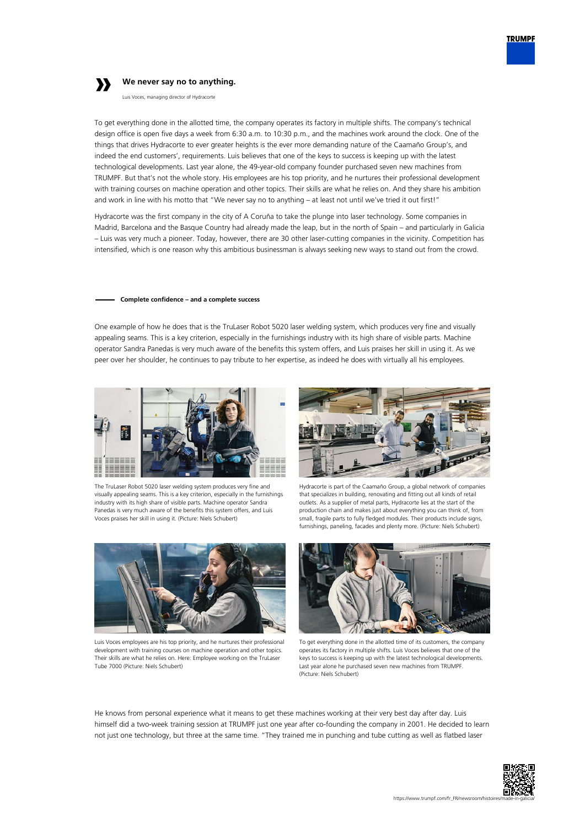

## **»**

## **We never say no to anything.**

Luis Voces, managing director of Hydracorte

To get everything done in the allotted time, the company operates its factory in multiple shifts. The company's technical design office is open five days a week from 6:30 a.m. to 10:30 p.m., and the machines work around the clock. One of the things that drives Hydracorte to ever greater heights is the ever more demanding nature of the Caamaño Group's, and indeed the end customers', requirements. Luis believes that one of the keys to success is keeping up with the latest technological developments. Last year alone, the 49-year-old company founder purchased seven new machines from TRUMPF. But that's not the whole story. His employees are his top priority, and he nurtures their professional development with training courses on machine operation and other topics. Their skills are what he relies on. And they share his ambition and work in line with his motto that "We never say no to anything – at least not until we've tried it out first!"

Hydracorte was the first company in the city of A Coruña to take the plunge into laser technology. Some companies in Madrid, Barcelona and the Basque Country had already made the leap, but in the north of Spain – and particularly in Galicia – Luis was very much a pioneer. Today, however, there are 30 other laser-cutting companies in the vicinity. Competition has intensified, which is one reason why this ambitious businessman is always seeking new ways to stand out from the crowd.

## **Complete confidence – and a complete success**

One example of how he does that is the TruLaser Robot 5020 laser welding system, which produces very fine and visually appealing seams. This is a key criterion, especially in the furnishings industry with its high share of visible parts. Machine operator Sandra Panedas is very much aware of the benefits this system offers, and Luis praises her skill in using it. As we peer over her shoulder, he continues to pay tribute to her expertise, as indeed he does with virtually all his employees.



The TruLaser Robot 5020 laser welding system produces very fine and visually appealing seams. This is a key criterion, especially in the furnishings industry with its high share of visible parts. Machine operator Sandra Panedas is very much aware of the benefits this system offers, and Luis Voces praises her skill in using it. (Picture: Niels Schubert)



Luis Voces employees are his top priority, and he nurtures their professional development with training courses on machine operation and other topics. Their skills are what he relies on. Here: Employee working on the TruLaser Tube 7000 (Picture: Niels Schubert)



Hydracorte is part of the Caamaño Group, a global network of companies that specializes in building, renovating and fitting out all kinds of retail outlets. As a supplier of metal parts, Hydracorte lies at the start of the production chain and makes just about everything you can think of, from small, fragile parts to fully fledged modules. Their products include signs, furnishings, paneling, facades and plenty more. (Picture: Niels Schubert)



To get everything done in the allotted time of its customers, the company operates its factory in multiple shifts. Luis Voces believes that one of the keys to success is keeping up with the latest technological developments. Last year alone he purchased seven new machines from TRUMPF. (Picture: Niels Schubert)

He knows from personal experience what it means to get these machines working at their very best day after day. Luis himself did a two-week training session at TRUMPF just one year after co-founding the company in 2001. He decided to learn not just one technology, but three at the same time. "They trained me in punching and tube cutting as well as flatbed laser